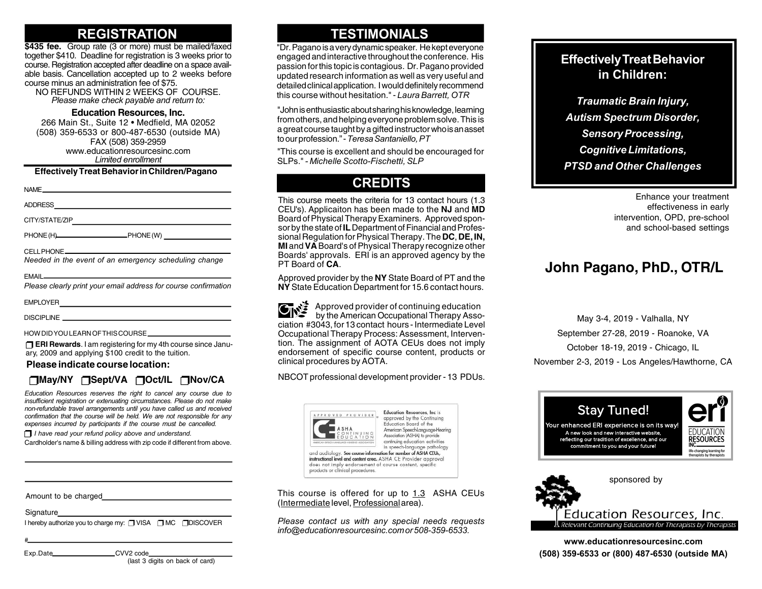## **REGISTRATION**

**\$435 fee.** Group rate (3 or more) must be mailed/faxed together \$410. Deadline for registration is 3 weeks prior to course. Registration accepted after deadline on a space available basis. Cancellation accepted up to 2 weeks before course minus an administration fee of \$75.

NO REFUNDS WITHIN 2 WEEKS OF COURSE. *Please make check payable and return to:*

#### **Education Resources, Inc.**

266 Main St., Suite 12 • Medfield, MA 02052 (508) 359-6533 or 800-487-6530 (outside MA) FAX (508) 359-2959 www.educationresourcesinc.com *Limited enrollment*

#### **Effectively Treat Behavior in Children/Pagano**

| Needed in the event of an emergency scheduling change                                                                                                                                                                                |  |
|--------------------------------------------------------------------------------------------------------------------------------------------------------------------------------------------------------------------------------------|--|
| EMAIL <b>EMAIL</b><br>Please clearly print your email address for course confirmation                                                                                                                                                |  |
|                                                                                                                                                                                                                                      |  |
| DISCIPLINE <b>And Contained Act and Contained Act and Contained Act and Contact and Contact and Contact and Contact and Contact and Contact and Contact and Contact and Contact and Contact and Contact and Contact and Contact </b> |  |
|                                                                                                                                                                                                                                      |  |

HOW DID YOU LEARN OF THIS COURSE

**TERI Rewards**. I am registering for my 4th course since January, 2009 and applying \$100 credit to the tuition.

**Please indicate course location:**

#### **May/NY Sept/VA Oct/IL Nov/CA**

*Education Resources reserves the right to cancel any course due to insufficient registration or extenuating circumstances. Please do not make non-refundable travel arrangements until you have called us and received confirmation that the course will be held. We are not responsible for any expenses incurred by participants if the course must be cancelled.*

 $\Box$  *I have read your refund policy above and understand.* 

Cardholder's name & billing address with zip code if different from above.

Amount to be charged

**Signature** 

I hereby authorize you to charge my:  $\Box$  VISA  $\Box$  MC  $\Box$  DISCOVER

Exp.Date\_\_\_\_\_\_\_\_\_\_\_\_\_\_\_\_\_\_\_CVV2 code\_

#

(last 3 digits on back of card)

## **TESTIMONIALS**

"Dr. Pagano is a very dynamic speaker. He kept everyone engaged and interactive throughout the conference. His passion for this topic is contagious. Dr. Pagano provided updated research information as well as very useful and detailed clinical application. I would definitely recommend this course without hesitation." - *Laura Barrett, OTR*

"John is enthusiastic about sharing his knowledge, learning from others, and helping everyone problem solve. This is a great course taught by a gifted instructor who is an asset to our profession." - *Teresa Santaniello, PT*

"This course is excellent and should be encouraged for SLPs." *- Michelle Scotto-Fischetti, SLP*

# **CREDITS**

This course meets the criteria for 13 contact hours (1.3 CEU's). Applicaiton has been made to the **NJ** and **MD** Board of Physical Therapy Examiners. Approved sponsor by the state of **IL** Department of Financial and Professional Regulation for Physical Therapy. The **DC**, **DE, IN, MI** and **VA** Board's of Physical Therapy recognize other Boards' approvals. ERI is an approved agency by the PT Board of **CA**.

Approved provider by the **NY** State Board of PT and the **NY** State Education Department for 15.6 contact hours.

 Approved provider of continuing education by the American Occupational Therapy Association #3043, for 13 contact hours - Intermediate Level Occupational Therapy Process: Assessment, Intervention. The assignment of AOTA CEUs does not imply endorsement of specific course content, products or clinical procedures by AOTA.

NBCOT professional development provider - 13 PDUs.



This course is offered for up to 1.3 ASHA CEUs (Intermediate level, Professional area).

*Please contact us with any special needs requests info@educationresourcesinc.com or 508-359-6533.*

#### **Effectively Treat Behavior in Children:**

*Traumatic Brain Injury, Autism Spectrum Disorder, Sensory Processing, Cognitive Limitations, PTSD and Other Challenges*

> Enhance your treatment effectiveness in early intervention, OPD, pre-school and school-based settings

# **John Pagano, PhD., OTR/L**

May 3-4, 2019 - Valhalla, NY September 27-28, 2019 - Roanoke, VA October 18-19, 2019 - Chicago, IL November 2-3, 2019 - Los Angeles/Hawthorne, CA





**www.educationresourcesinc.com (508) 359-6533 or (800) 487-6530 (outside MA)**